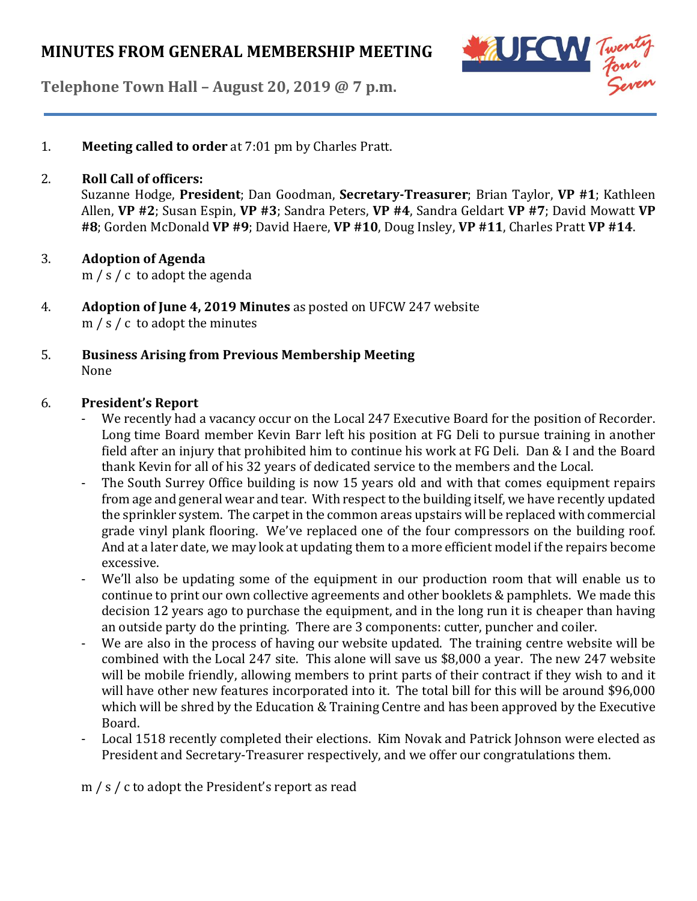

**Telephone Town Hall – August 20, 2019 @ 7 p.m.**

1. **Meeting called to order** at 7:01 pm by Charles Pratt.

## 2. **Roll Call of officers:**

Suzanne Hodge, **President**; Dan Goodman, **Secretary-Treasurer**; Brian Taylor, **VP #1**; Kathleen Allen, **VP #2**; Susan Espin, **VP #3**; Sandra Peters, **VP #4**, Sandra Geldart **VP #7**; David Mowatt **VP #8**; Gorden McDonald **VP #9**; David Haere, **VP #10**, Doug Insley, **VP #11**, Charles Pratt **VP #14**.

# 3. **Adoption of Agenda**

m / s / c to adopt the agenda

- 4. **Adoption of June 4, 2019 Minutes** as posted on UFCW 247 website m / s / c to adopt the minutes
- 5. **Business Arising from Previous Membership Meeting** None

# 6. **President's Report**

- We recently had a vacancy occur on the Local 247 Executive Board for the position of Recorder. Long time Board member Kevin Barr left his position at FG Deli to pursue training in another field after an injury that prohibited him to continue his work at FG Deli. Dan & I and the Board thank Kevin for all of his 32 years of dedicated service to the members and the Local.
- The South Surrey Office building is now 15 years old and with that comes equipment repairs from age and general wear and tear. With respect to the building itself, we have recently updated the sprinkler system. The carpet in the common areas upstairs will be replaced with commercial grade vinyl plank flooring. We've replaced one of the four compressors on the building roof. And at a later date, we may look at updating them to a more efficient model if the repairs become excessive.
- We'll also be updating some of the equipment in our production room that will enable us to continue to print our own collective agreements and other booklets & pamphlets. We made this decision 12 years ago to purchase the equipment, and in the long run it is cheaper than having an outside party do the printing. There are 3 components: cutter, puncher and coiler.
- We are also in the process of having our website updated. The training centre website will be combined with the Local 247 site. This alone will save us \$8,000 a year. The new 247 website will be mobile friendly, allowing members to print parts of their contract if they wish to and it will have other new features incorporated into it. The total bill for this will be around \$96,000 which will be shred by the Education & Training Centre and has been approved by the Executive Board.
- Local 1518 recently completed their elections. Kim Novak and Patrick Johnson were elected as President and Secretary-Treasurer respectively, and we offer our congratulations them.

m / s / c to adopt the President's report as read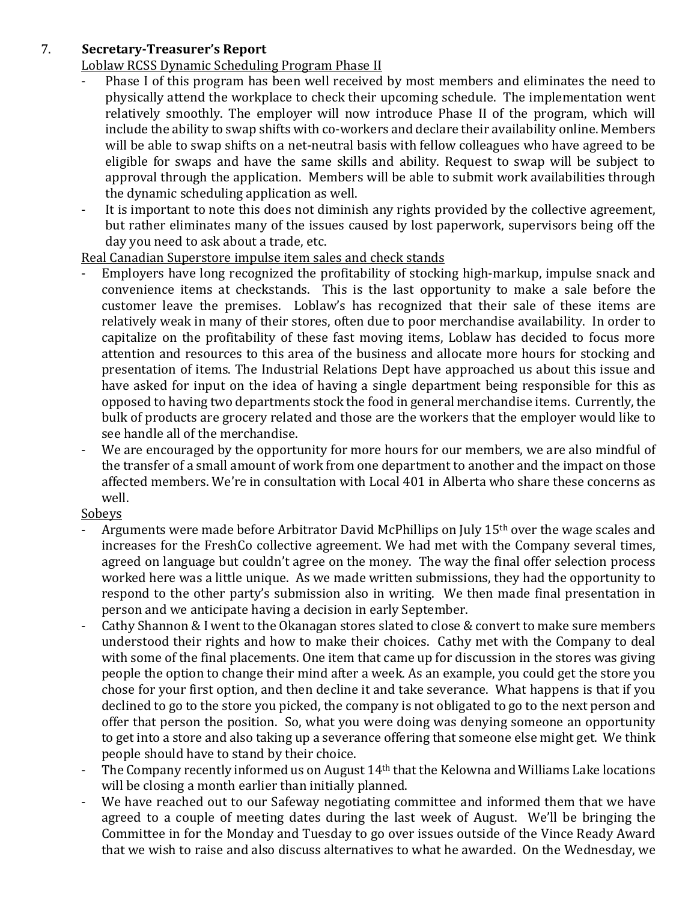# 7. **Secretary-Treasurer's Report**

Loblaw RCSS Dynamic Scheduling Program Phase II

- Phase I of this program has been well received by most members and eliminates the need to physically attend the workplace to check their upcoming schedule. The implementation went relatively smoothly. The employer will now introduce Phase II of the program, which will include the ability to swap shifts with co-workers and declare their availability online. Members will be able to swap shifts on a net-neutral basis with fellow colleagues who have agreed to be eligible for swaps and have the same skills and ability. Request to swap will be subject to approval through the application. Members will be able to submit work availabilities through the dynamic scheduling application as well.
- It is important to note this does not diminish any rights provided by the collective agreement, but rather eliminates many of the issues caused by lost paperwork, supervisors being off the day you need to ask about a trade, etc.

#### Real Canadian Superstore impulse item sales and check stands

- Employers have long recognized the profitability of stocking high-markup, impulse snack and convenience items at checkstands. This is the last opportunity to make a sale before the customer leave the premises. Loblaw's has recognized that their sale of these items are relatively weak in many of their stores, often due to poor merchandise availability. In order to capitalize on the profitability of these fast moving items, Loblaw has decided to focus more attention and resources to this area of the business and allocate more hours for stocking and presentation of items. The Industrial Relations Dept have approached us about this issue and have asked for input on the idea of having a single department being responsible for this as opposed to having two departments stock the food in general merchandise items. Currently, the bulk of products are grocery related and those are the workers that the employer would like to see handle all of the merchandise.
- We are encouraged by the opportunity for more hours for our members, we are also mindful of the transfer of a small amount of work from one department to another and the impact on those affected members. We're in consultation with Local 401 in Alberta who share these concerns as well.

### Sobeys

- Arguments were made before Arbitrator David McPhillips on July 15<sup>th</sup> over the wage scales and increases for the FreshCo collective agreement. We had met with the Company several times, agreed on language but couldn't agree on the money. The way the final offer selection process worked here was a little unique. As we made written submissions, they had the opportunity to respond to the other party's submission also in writing. We then made final presentation in person and we anticipate having a decision in early September.
- Cathy Shannon & I went to the Okanagan stores slated to close & convert to make sure members understood their rights and how to make their choices. Cathy met with the Company to deal with some of the final placements. One item that came up for discussion in the stores was giving people the option to change their mind after a week. As an example, you could get the store you chose for your first option, and then decline it and take severance. What happens is that if you declined to go to the store you picked, the company is not obligated to go to the next person and offer that person the position. So, what you were doing was denying someone an opportunity to get into a store and also taking up a severance offering that someone else might get. We think people should have to stand by their choice.
- The Company recently informed us on August 14<sup>th</sup> that the Kelowna and Williams Lake locations will be closing a month earlier than initially planned.
- We have reached out to our Safeway negotiating committee and informed them that we have agreed to a couple of meeting dates during the last week of August. We'll be bringing the Committee in for the Monday and Tuesday to go over issues outside of the Vince Ready Award that we wish to raise and also discuss alternatives to what he awarded. On the Wednesday, we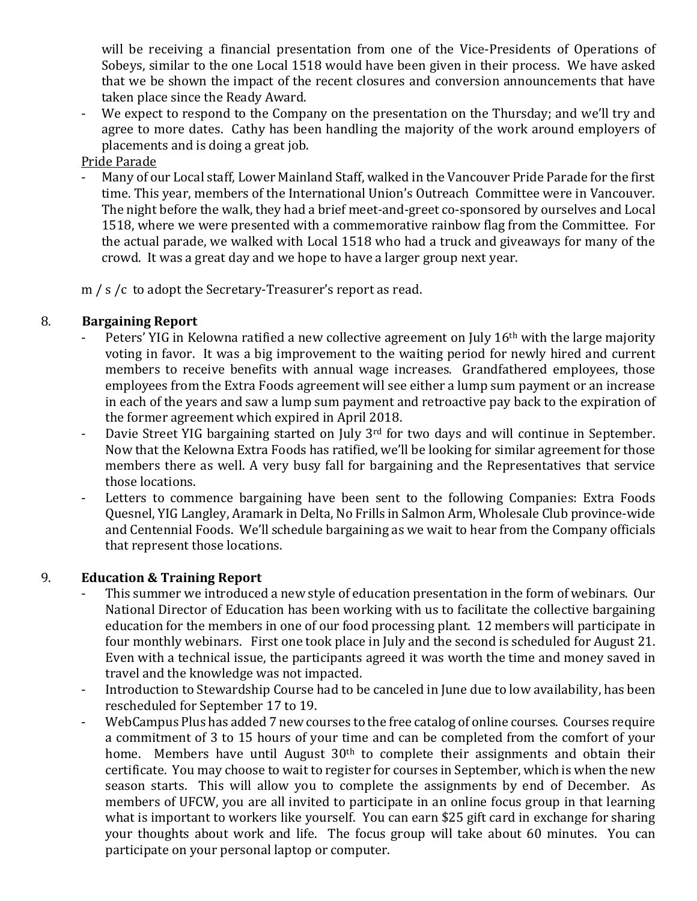will be receiving a financial presentation from one of the Vice-Presidents of Operations of Sobeys, similar to the one Local 1518 would have been given in their process. We have asked that we be shown the impact of the recent closures and conversion announcements that have taken place since the Ready Award.

- We expect to respond to the Company on the presentation on the Thursday; and we'll try and agree to more dates. Cathy has been handling the majority of the work around employers of placements and is doing a great job.

Pride Parade

- Many of our Local staff, Lower Mainland Staff, walked in the Vancouver Pride Parade for the first time. This year, members of the International Union's Outreach Committee were in Vancouver. The night before the walk, they had a brief meet-and-greet co-sponsored by ourselves and Local 1518, where we were presented with a commemorative rainbow flag from the Committee. For the actual parade, we walked with Local 1518 who had a truck and giveaways for many of the crowd. It was a great day and we hope to have a larger group next year.

m / s /c to adopt the Secretary-Treasurer's report as read.

# 8. **Bargaining Report**

- Peters' YIG in Kelowna ratified a new collective agreement on July 16<sup>th</sup> with the large majority voting in favor. It was a big improvement to the waiting period for newly hired and current members to receive benefits with annual wage increases. Grandfathered employees, those employees from the Extra Foods agreement will see either a lump sum payment or an increase in each of the years and saw a lump sum payment and retroactive pay back to the expiration of the former agreement which expired in April 2018.
- Davie Street YIG bargaining started on July 3<sup>rd</sup> for two days and will continue in September. Now that the Kelowna Extra Foods has ratified, we'll be looking for similar agreement for those members there as well. A very busy fall for bargaining and the Representatives that service those locations.
- Letters to commence bargaining have been sent to the following Companies: Extra Foods Quesnel, YIG Langley, Aramark in Delta, No Frills in Salmon Arm, Wholesale Club province-wide and Centennial Foods. We'll schedule bargaining as we wait to hear from the Company officials that represent those locations.

# 9. **Education & Training Report**

- This summer we introduced a new style of education presentation in the form of webinars. Our National Director of Education has been working with us to facilitate the collective bargaining education for the members in one of our food processing plant. 12 members will participate in four monthly webinars. First one took place in July and the second is scheduled for August 21. Even with a technical issue, the participants agreed it was worth the time and money saved in travel and the knowledge was not impacted.
- Introduction to Stewardship Course had to be canceled in June due to low availability, has been rescheduled for September 17 to 19.
- WebCampus Plus has added 7 new courses to the free catalog of online courses. Courses require a commitment of 3 to 15 hours of your time and can be completed from the comfort of your home. Members have until August 30<sup>th</sup> to complete their assignments and obtain their certificate. You may choose to wait to register for courses in September, which is when the new season starts. This will allow you to complete the assignments by end of December. As members of UFCW, you are all invited to participate in an online focus group in that learning what is important to workers like yourself. You can earn \$25 gift card in exchange for sharing your thoughts about work and life. The focus group will take about 60 minutes. You can participate on your personal laptop or computer.